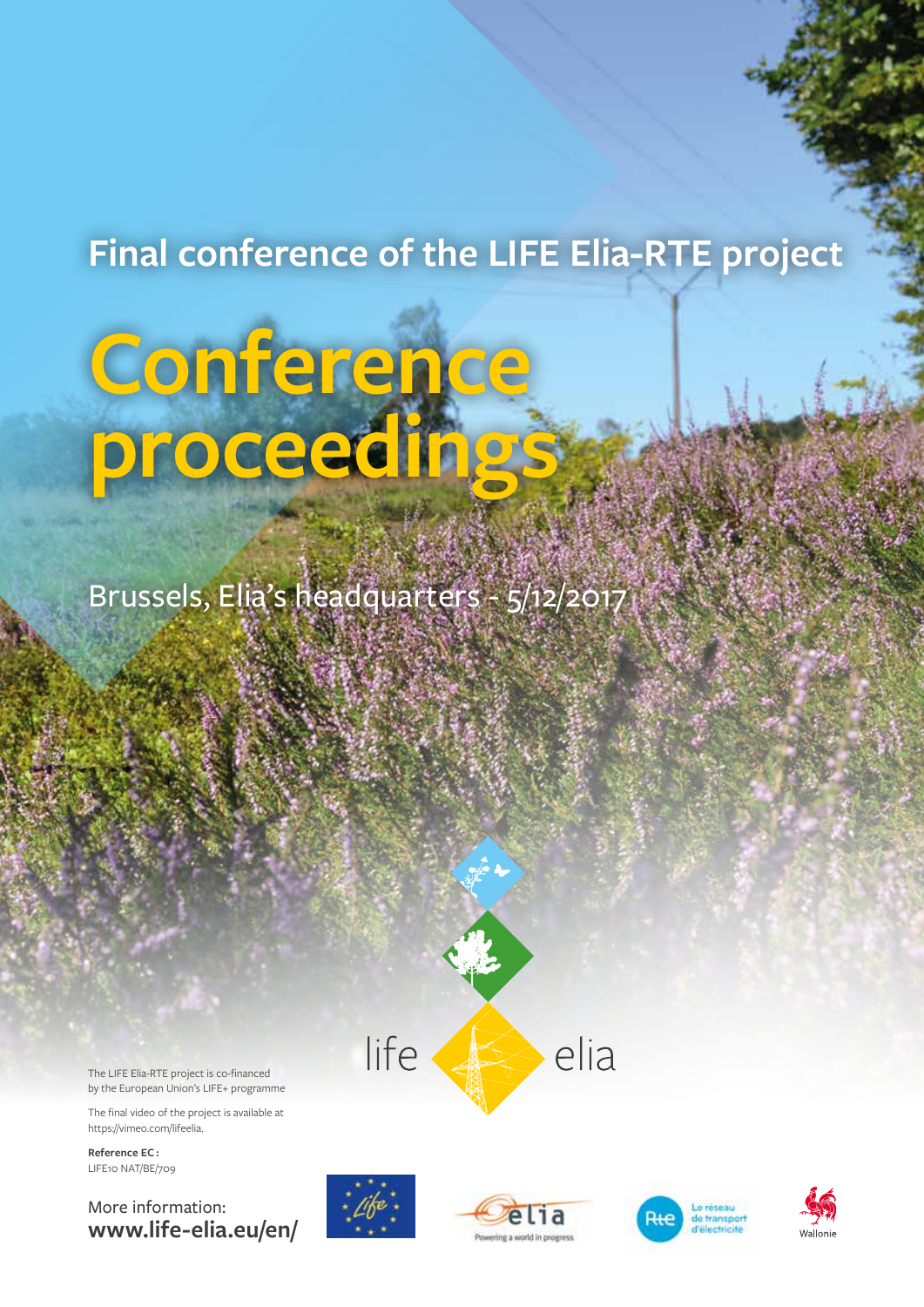## **Final conference of the LIFE Elia-RTE project**

# **Conference proceedings**

Brussels, Elia's headquarters - 5/12/2017



The LIFE Elia-RTE project is co-financed by the European Union's LIFE+ programme

The final video of the project is available at [https://vimeo.com/lifeelia.](https://vimeo.com/lifeelia)

**Reference EC :** LIFE10 NAT/BE/709

More information: **[www.life-elia.eu/en/](http://www.life-elia.eu/en/)**







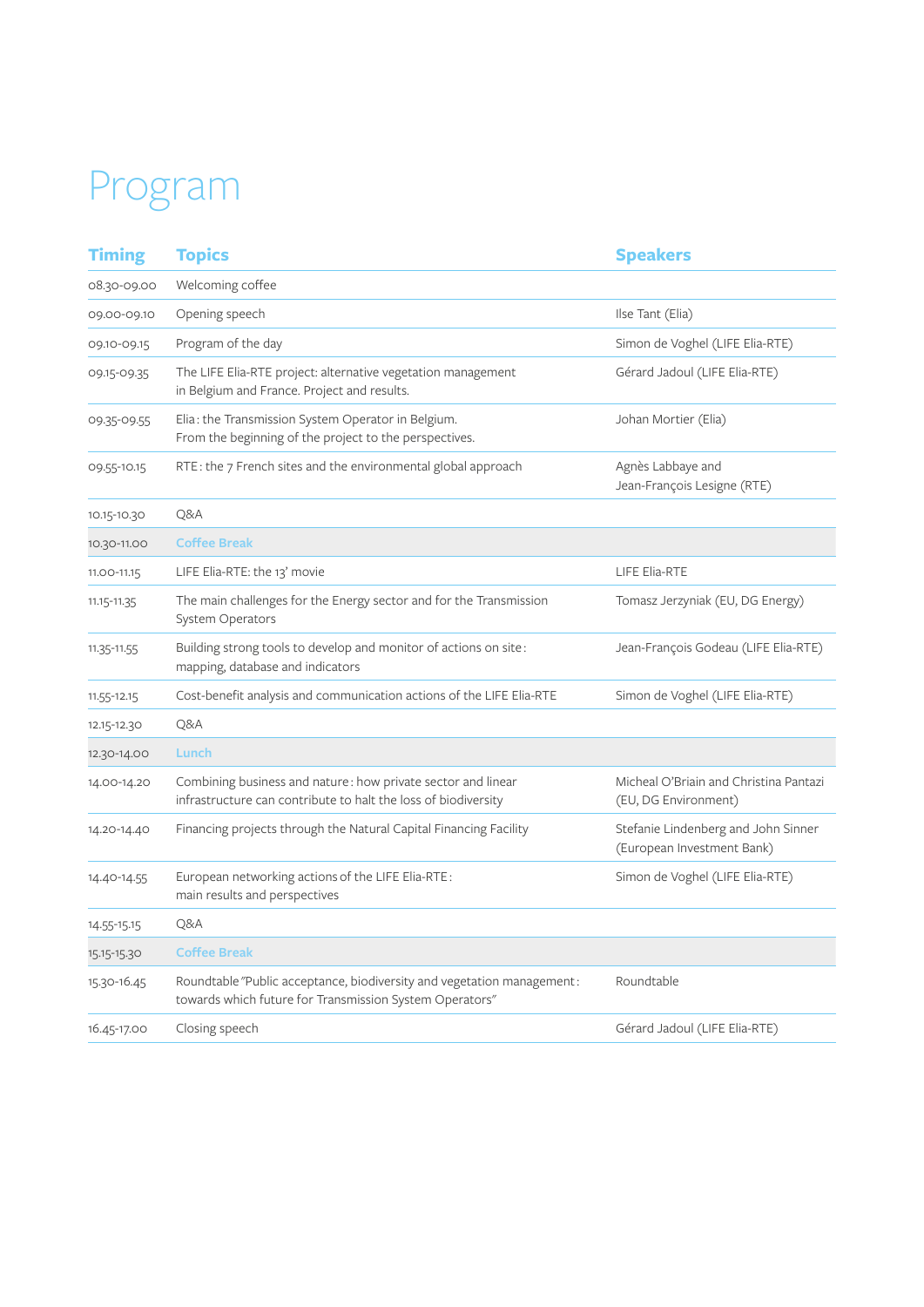## Program

| <b>Timing</b> | <b>Topics</b>                                                                                                                     | <b>Speakers</b>                                                   |
|---------------|-----------------------------------------------------------------------------------------------------------------------------------|-------------------------------------------------------------------|
| 08.30-09.00   | Welcoming coffee                                                                                                                  |                                                                   |
| 09.00-09.10   | Opening speech                                                                                                                    | Ilse Tant (Elia)                                                  |
| 09.10-09.15   | Program of the day                                                                                                                | Simon de Voghel (LIFE Elia-RTE)                                   |
| 09.15-09.35   | The LIFE Elia-RTE project: alternative vegetation management<br>in Belgium and France. Project and results.                       | Gérard Jadoul (LIFE Elia-RTE)                                     |
| 09.35-09.55   | Elia: the Transmission System Operator in Belgium.<br>From the beginning of the project to the perspectives.                      | Johan Mortier (Elia)                                              |
| 09.55-10.15   | RTE: the 7 French sites and the environmental global approach                                                                     | Agnès Labbaye and<br>Jean-François Lesigne (RTE)                  |
| 10.15-10.30   | Q&A                                                                                                                               |                                                                   |
| 10.30-11.00   | <b>Coffee Break</b>                                                                                                               |                                                                   |
| 11.00-11.15   | LIFE Elia-RTE: the 13' movie                                                                                                      | LIFE Elia-RTE                                                     |
| 11.15-11.35   | The main challenges for the Energy sector and for the Transmission<br><b>System Operators</b>                                     | Tomasz Jerzyniak (EU, DG Energy)                                  |
| 11.35-11.55   | Building strong tools to develop and monitor of actions on site:<br>mapping, database and indicators                              | Jean-François Godeau (LIFE Elia-RTE)                              |
| 11.55-12.15   | Cost-benefit analysis and communication actions of the LIFE Elia-RTE                                                              | Simon de Voghel (LIFE Elia-RTE)                                   |
| 12.15-12.30   | Q&A                                                                                                                               |                                                                   |
| 12.30-14.00   | Lunch                                                                                                                             |                                                                   |
| 14.00-14.20   | Combining business and nature: how private sector and linear<br>infrastructure can contribute to halt the loss of biodiversity    | Micheal O'Briain and Christina Pantazi<br>(EU, DG Environment)    |
| 14.20-14.40   | Financing projects through the Natural Capital Financing Facility                                                                 | Stefanie Lindenberg and John Sinner<br>(European Investment Bank) |
| 14.40-14.55   | European networking actions of the LIFE Elia-RTE:<br>main results and perspectives                                                | Simon de Voghel (LIFE Elia-RTE)                                   |
| 14.55-15.15   | Q&A                                                                                                                               |                                                                   |
| 15.15-15.30   | <b>Coffee Break</b>                                                                                                               |                                                                   |
| 15.30-16.45   | Roundtable "Public acceptance, biodiversity and vegetation management:<br>towards which future for Transmission System Operators" | Roundtable                                                        |
| 16.45-17.00   | Closing speech                                                                                                                    | Gérard Jadoul (LIFE Elia-RTE)                                     |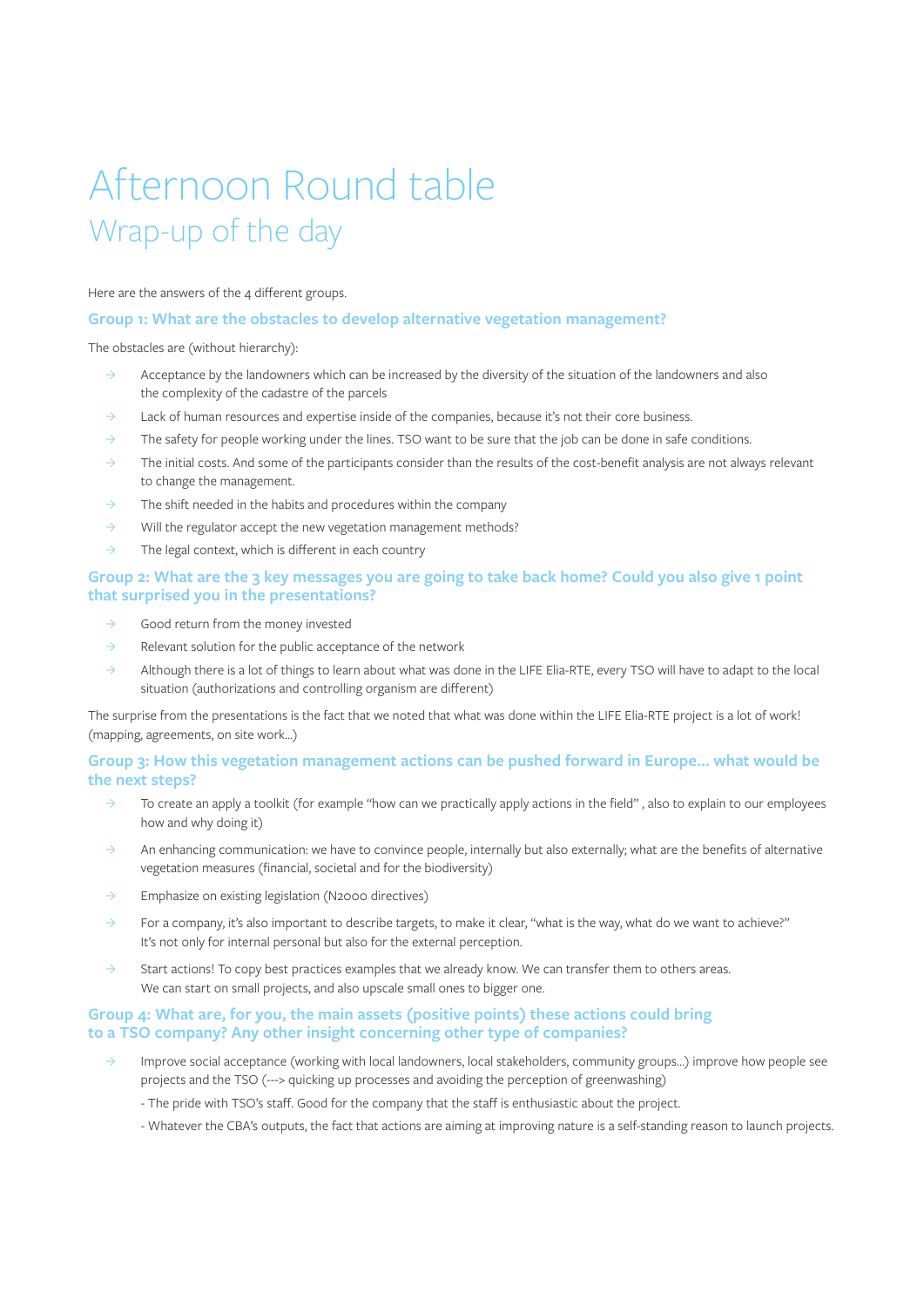## Afternoon Round table Wrap-up of the day

Here are the answers of the 4 different groups.

#### **Group 1: What are the obstacles to develop alternative vegetation management?**

The obstacles are (without hierarchy):

- $\rightarrow$  Acceptance by the landowners which can be increased by the diversity of the situation of the landowners and also the complexity of the cadastre of the parcels
- $\rightarrow$  Lack of human resources and expertise inside of the companies, because it's not their core business.
- $\rightarrow$  The safety for people working under the lines. TSO want to be sure that the job can be done in safe conditions.
- $\rightarrow$  The initial costs. And some of the participants consider than the results of the cost-benefit analysis are not always relevant to change the management.
- $\rightarrow$  The shift needed in the habits and procedures within the company
- $\rightarrow$  Will the regulator accept the new vegetation management methods?
- $\rightarrow$  The legal context, which is different in each country

#### **Group 2: What are the 3 key messages you are going to take back home? Could you also give 1 point that surprised you in the presentations?**

- ȝ Good return from the money invested
- $\rightarrow$  Relevant solution for the public acceptance of the network
- $\rightarrow$  Although there is a lot of things to learn about what was done in the LIFE Elia-RTE, every TSO will have to adapt to the local situation (authorizations and controlling organism are different)

The surprise from the presentations is the fact that we noted that what was done within the LIFE Elia-RTE project is a lot of work! (mapping, agreements, on site work...)

#### **Group 3: How this vegetation management actions can be pushed forward in Europe… what would be the next steps?**

- ȝ To create an apply a toolkit (for example "how can we practically apply actions in the field" , also to explain to our employees how and why doing it)
- ȝ An enhancing communication: we have to convince people, internally but also externally; what are the benefits of alternative vegetation measures (financial, societal and for the biodiversity)
- $\rightarrow$  Emphasize on existing legislation (N2000 directives)
- $\rightarrow$  For a company, it's also important to describe targets, to make it clear, "what is the way, what do we want to achieve?" It's not only for internal personal but also for the external perception.
- $\rightarrow$  Start actions! To copy best practices examples that we already know. We can transfer them to others areas. We can start on small projects, and also upscale small ones to bigger one.

#### **Group 4: What are, for you, the main assets (positive points) these actions could bring to a TSO company? Any other insight concerning other type of companies?**

- ȝ Improve social acceptance (working with local landowners, local stakeholders, community groups…) improve how people see projects and the TSO (---> quicking up processes and avoiding the perception of greenwashing)
	- The pride with TSO's staff. Good for the company that the staff is enthusiastic about the project.
	- Whatever the CBA's outputs, the fact that actions are aiming at improving nature is a self-standing reason to launch projects.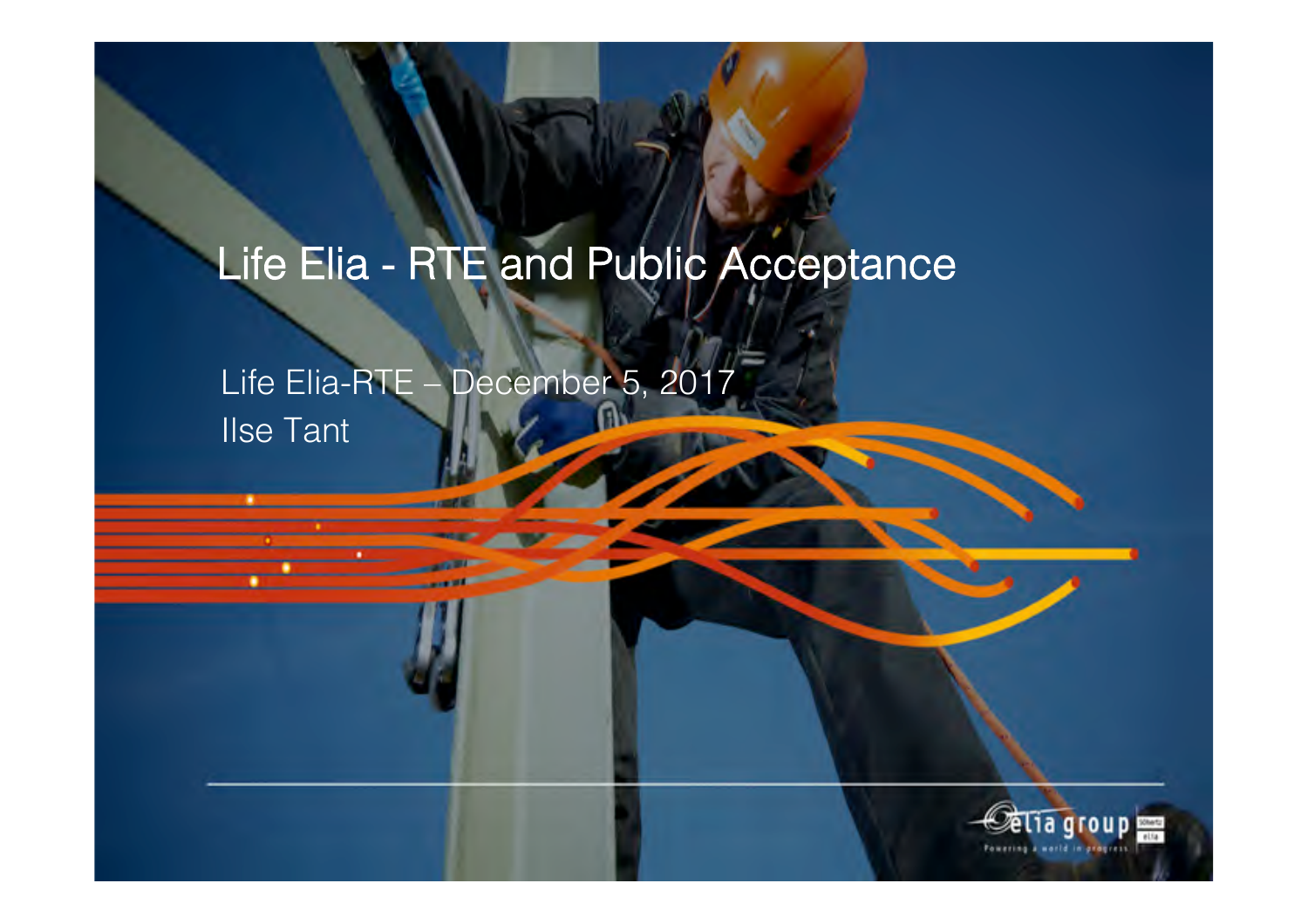## Life Elia - RTE and Public Acceptance

Life Elia-RTE – December 5, 2017 Ilse Tant

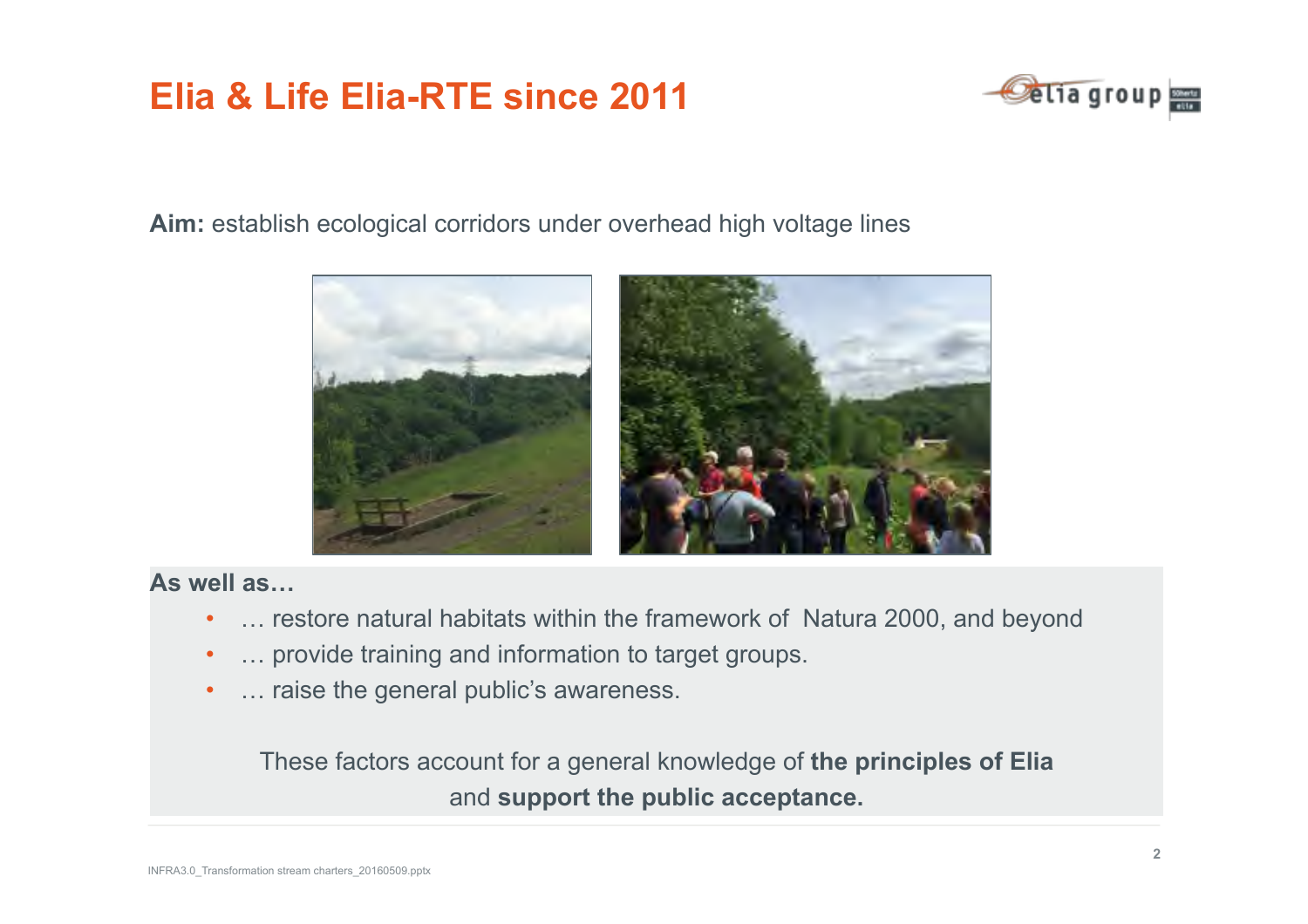## **Elia & Life Elia-RTE since 2011**



Aim: establish ecological corridors under overhead high voltage lines



#### **As well as…**

- ... restore natural habitats within the framework of Natura 2000, and beyond
- ... provide training and information to target groups.
- ... raise the general public's awareness.

These factors account for a general knowledge of **the principles of Elia**  and **support the public acceptance.**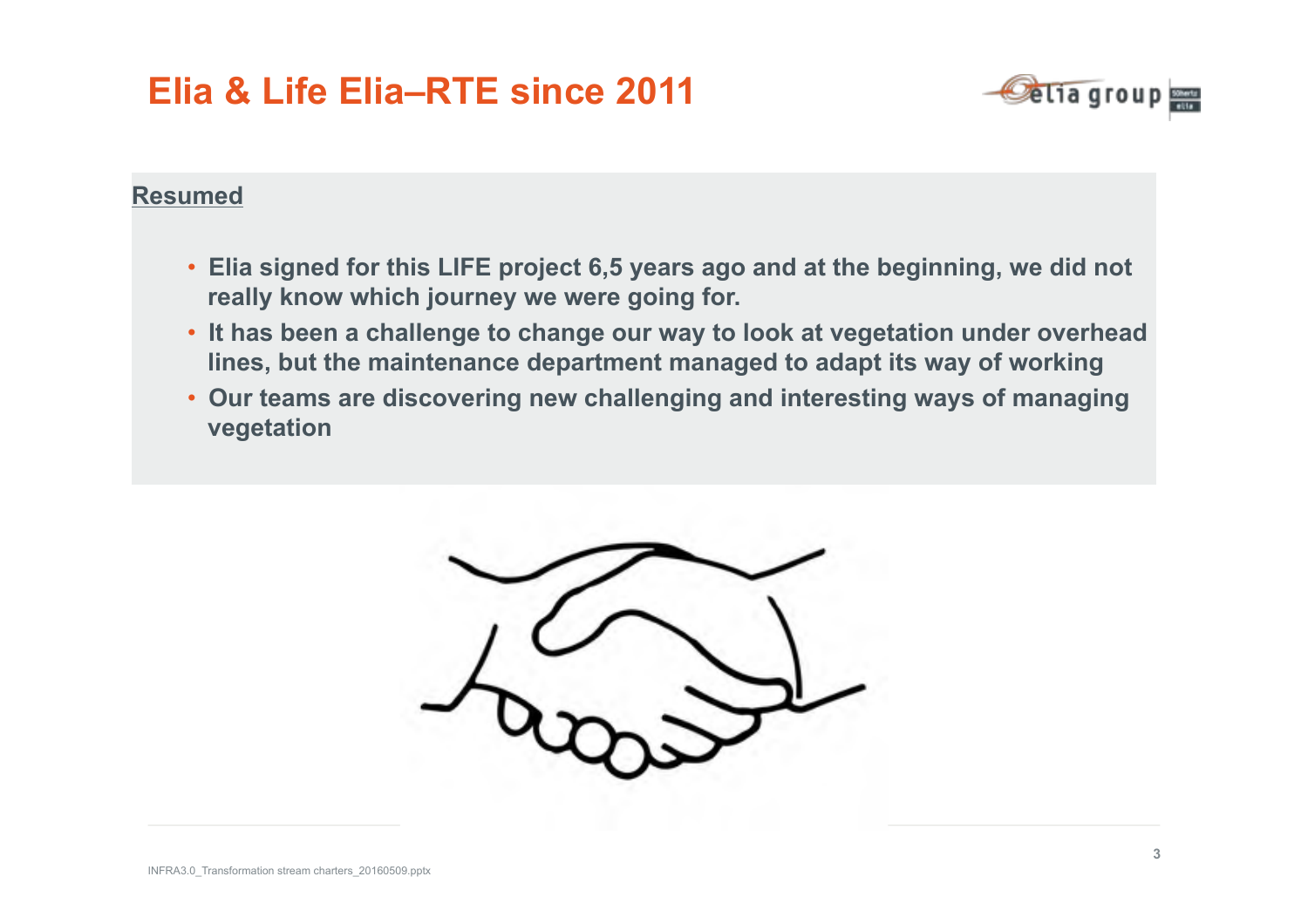## **Elia & Life Elia–RTE since 2011**



#### **Resumed**

- **Elia signed for this LIFE project 6,5 years ago and at the beginning, we did not really know which journey we were going for.**
- **It has been a challenge to change our way to look at vegetation under overhead lines, but the maintenance department managed to adapt its way of working**
- **Our teams are discovering new challenging and interesting ways of managing vegetation**

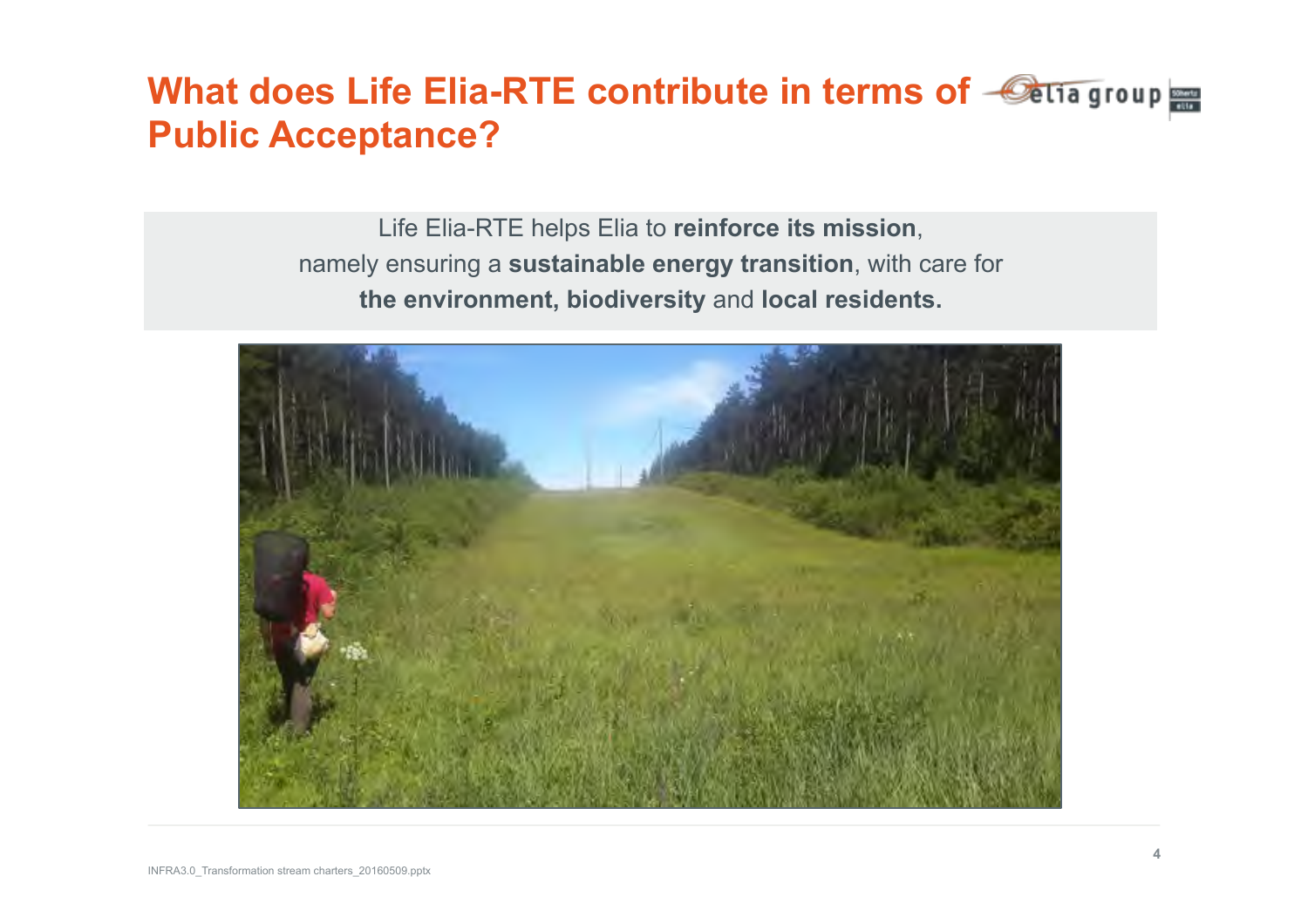### **What does Life Elia-RTE contribute in terms of**  $\triangle$  **aliagroup Public Acceptance?**

Life Elia-RTE helps Elia to **reinforce its mission**, namely ensuring a **sustainable energy transition**, with care for **the environment, biodiversity** and **local residents.** 

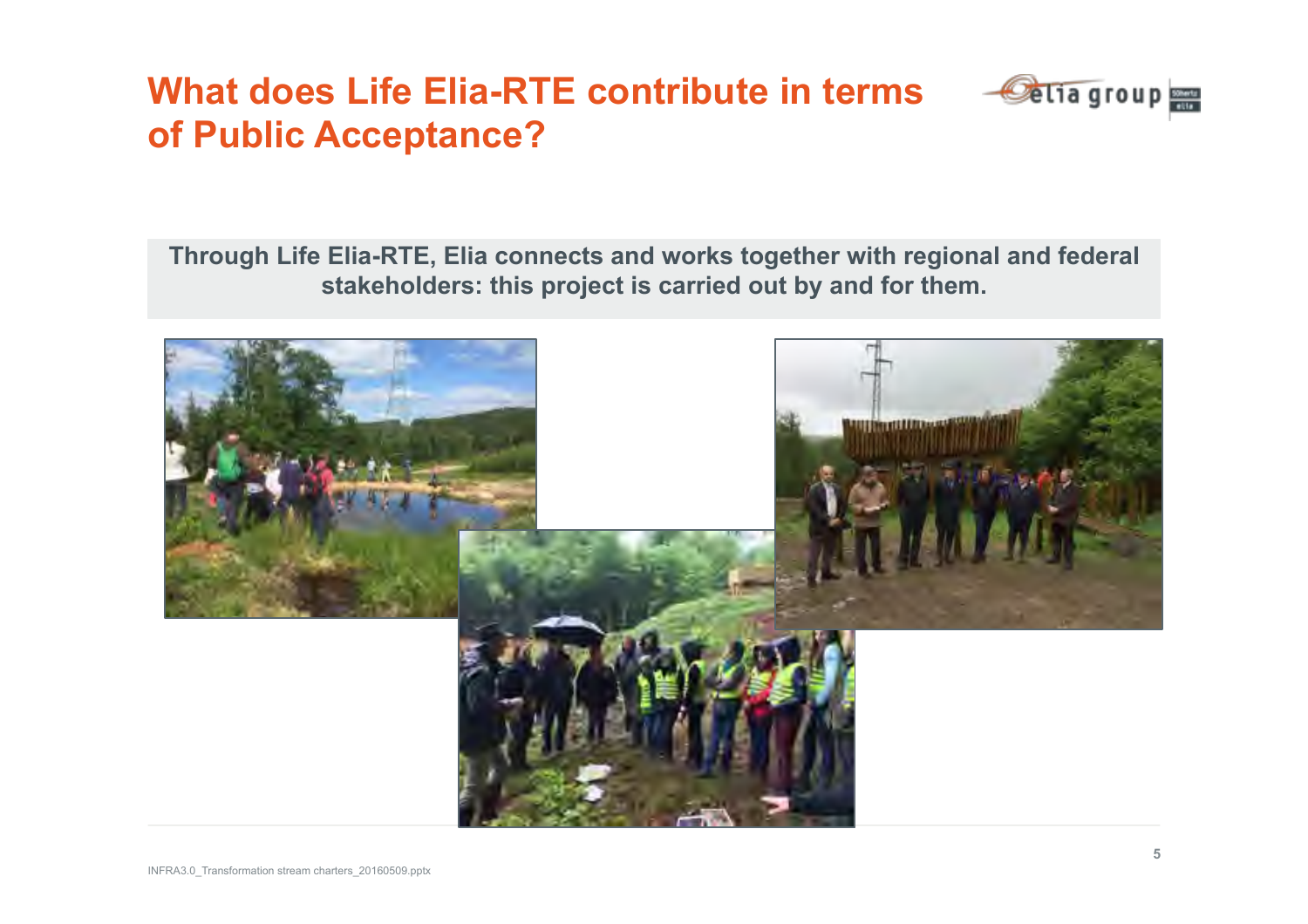### **What does Life Elia-RTE contribute in terms of Public Acceptance?**



**Through Life Elia-RTE, Elia connects and works together with regional and federal stakeholders: this project is carried out by and for them.** 

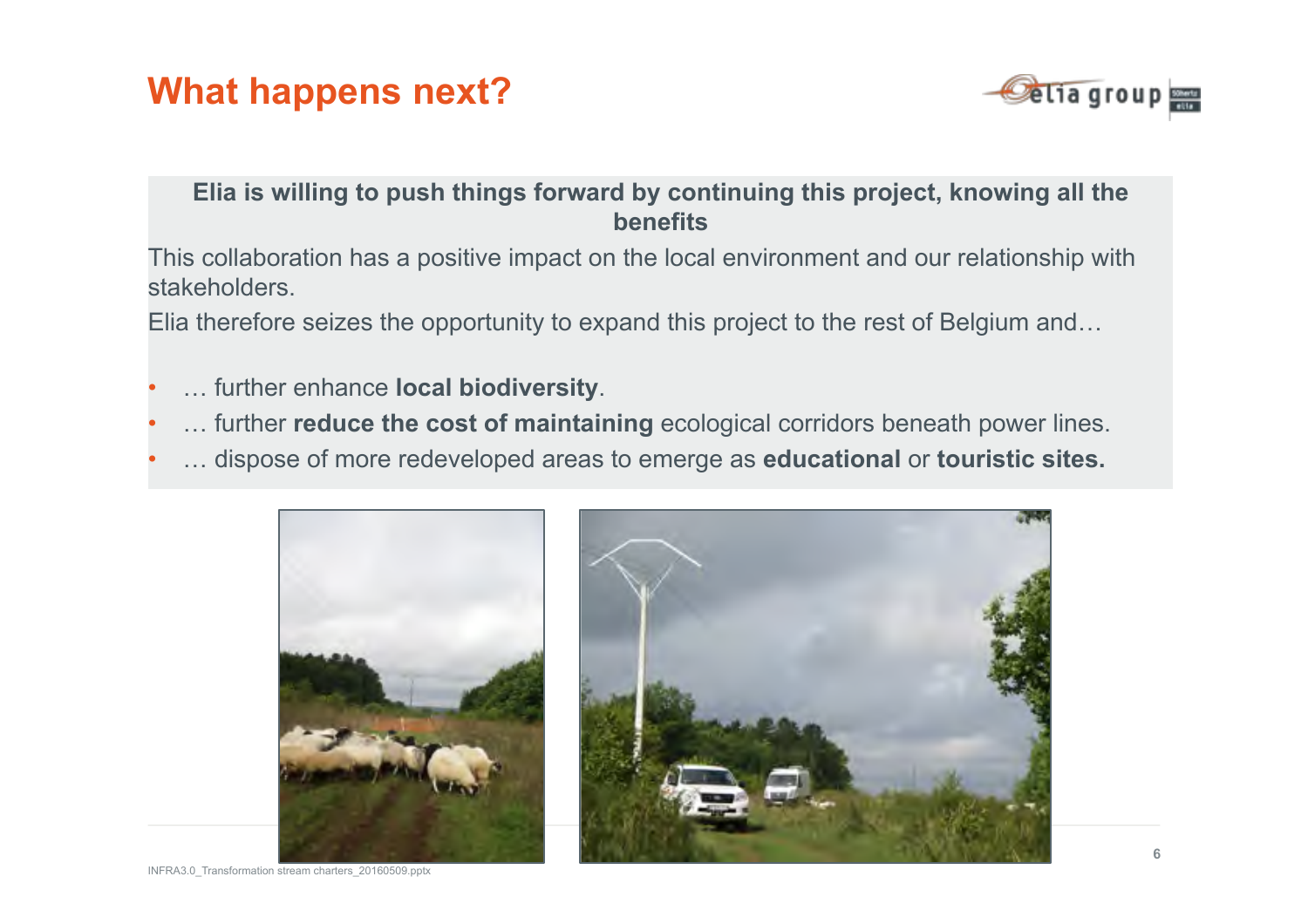### **What happens next?**

![](_page_8_Picture_1.jpeg)

#### **Elia is willing to push things forward by continuing this project, knowing all the benefits**

This collaboration has a positive impact on the local environment and our relationship with stakeholders.

Elia therefore seizes the opportunity to expand this project to the rest of Belgium and…

- … further enhance **local biodiversity**.
- … further **reduce the cost of maintaining** ecological corridors beneath power lines.
- … dispose of more redeveloped areas to emerge as **educational** or **touristic sites.**

![](_page_8_Picture_8.jpeg)

INFRA3.0\_Transformation stream charters\_20160509.pptx